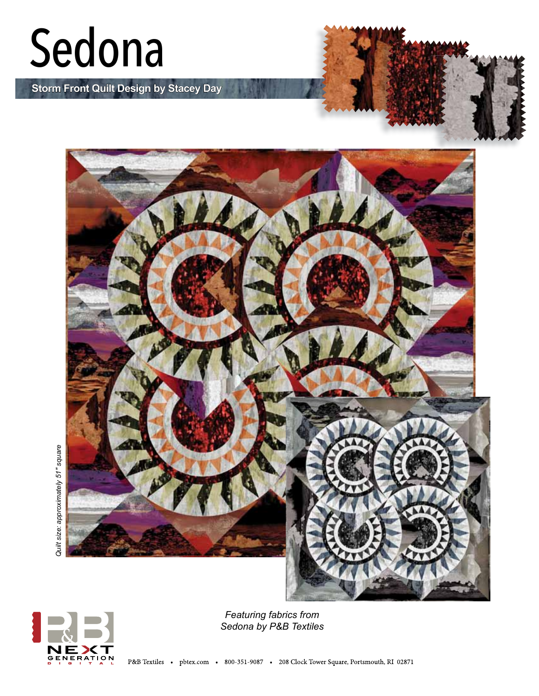## Sedona

**Storm Front Quilt Design by Stacey Day**







*Featuring fabrics from Sedona by P&B Textiles*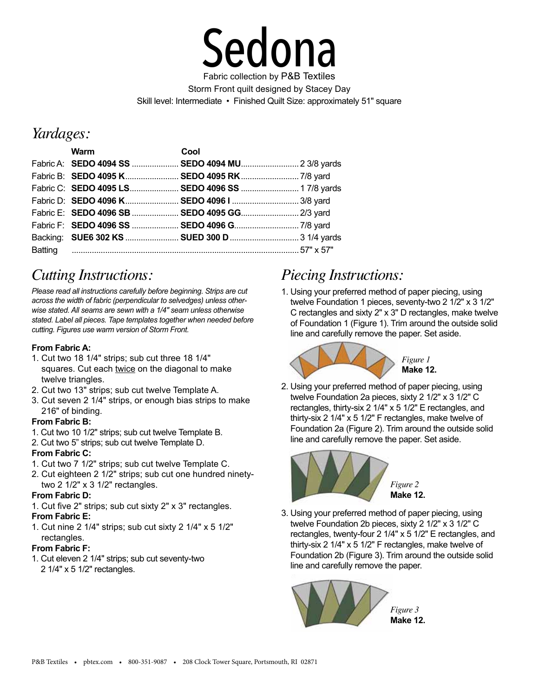

Storm Front quilt designed by Stacey Day Skill level: Intermediate • Finished Quilt Size: approximately 51" square

## *Yardages:*

| <b>Warm Exercise State State State State State</b> | Cool                                             |  |
|----------------------------------------------------|--------------------------------------------------|--|
|                                                    | Fabric A: SEDO 4094 SS  SEDO 4094 MU 2 3/8 yards |  |
|                                                    |                                                  |  |
|                                                    | Fabric C: SEDO 4095 LS SEDO 4096 SS  17/8 yards  |  |
|                                                    | Fabric D: SEDO 4096 K SEDO 4096 I  3/8 yard      |  |
|                                                    | Fabric E: SEDO 4096 SB  SEDO 4095 GG  2/3 yard   |  |
|                                                    |                                                  |  |
|                                                    |                                                  |  |
|                                                    |                                                  |  |

## *Cutting Instructions:*

*Please read all instructions carefully before beginning. Strips are cut across the width of fabric (perpendicular to selvedges) unless otherwise stated. All seams are sewn with a 1/4" seam unless otherwise stated. Label all pieces. Tape templates together when needed before cutting. Figures use warm version of Storm Front.*

#### **From Fabric A:**

- 1. Cut two 18 1/4" strips; sub cut three 18 1/4" squares. Cut each twice on the diagonal to make twelve triangles.
- 2. Cut two 13" strips; sub cut twelve Template A.
- 3. Cut seven 2 1/4" strips, or enough bias strips to make 216" of binding.

#### **From Fabric B:**

- 1. Cut two 10 1/2" strips; sub cut twelve Template B.
- 2. Cut two 5" strips; sub cut twelve Template D.

#### **From Fabric C:**

- 1. Cut two 7 1/2" strips; sub cut twelve Template C.
- 2. Cut eighteen 2 1/2" strips; sub cut one hundred ninetytwo 2 1/2" x 3 1/2" rectangles.

#### **From Fabric D:**

- 1. Cut five 2" strips; sub cut sixty 2" x 3" rectangles. **From Fabric E:**
- 1. Cut nine 2 1/4" strips; sub cut sixty 2 1/4" x 5 1/2" rectangles.

#### **From Fabric F:**

1. Cut eleven 2 1/4" strips; sub cut seventy-two 2 1/4" x 5 1/2" rectangles.

## *Piecing Instructions:*

1. Using your preferred method of paper piecing, using twelve Foundation 1 pieces, seventy-two 2 1/2" x 3 1/2" C rectangles and sixty 2" x 3" D rectangles, make twelve of Foundation 1 (Figure 1). Trim around the outside solid line and carefully remove the paper. Set aside.



2. Using your preferred method of paper piecing, using twelve Foundation 2a pieces, sixty 2 1/2" x 3 1/2" C rectangles, thirty-six 2 1/4" x 5 1/2" E rectangles, and thirty-six 2 1/4" x 5 1/2" F rectangles, make twelve of Foundation 2a (Figure 2). Trim around the outside solid line and carefully remove the paper. Set aside.



*Figure 2* **Make 12.**

3. Using your preferred method of paper piecing, using twelve Foundation 2b pieces, sixty 2 1/2" x 3 1/2" C rectangles, twenty-four 2 1/4" x 5 1/2" E rectangles, and thirty-six 2 1/4" x 5 1/2" F rectangles, make twelve of Foundation 2b (Figure 3). Trim around the outside solid line and carefully remove the paper.

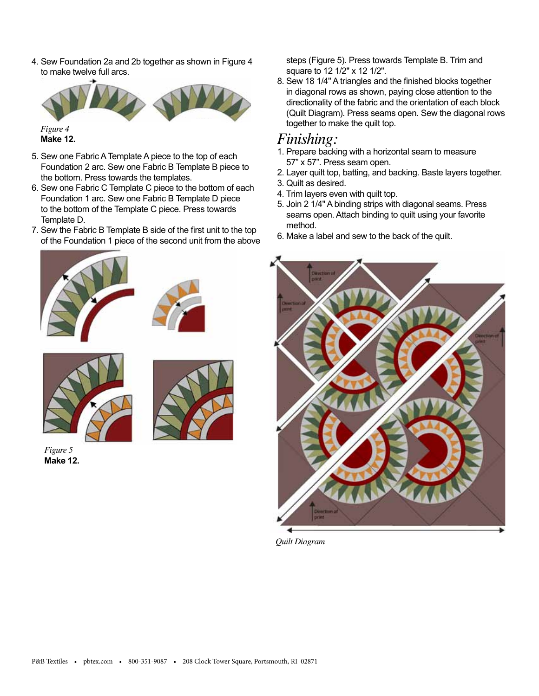4. Sew Foundation 2a and 2b together as shown in Figure 4 to make twelve full arcs.



**Make 12.**

- 5. Sew one Fabric A Template A piece to the top of each Foundation 2 arc. Sew one Fabric B Template B piece to the bottom. Press towards the templates.
- 6. Sew one Fabric C Template C piece to the bottom of each Foundation 1 arc. Sew one Fabric B Template D piece to the bottom of the Template C piece. Press towards Template D.
- 7. Sew the Fabric B Template B side of the first unit to the top of the Foundation 1 piece of the second unit from the above







*Figure 5* **Make 12.**



steps (Figure 5). Press towards Template B. Trim and square to 12 1/2" x 12 1/2".

8. Sew 18 1/4" A triangles and the finished blocks together in diagonal rows as shown, paying close attention to the directionality of the fabric and the orientation of each block (Quilt Diagram). Press seams open. Sew the diagonal rows together to make the quilt top.

### *Finishing:*

- 1. Prepare backing with a horizontal seam to measure 57" x 57". Press seam open.
- 2. Layer quilt top, batting, and backing. Baste layers together.
- 3. Quilt as desired.
- 4. Trim layers even with quilt top.
- 5. Join 2 1/4" A binding strips with diagonal seams. Press seams open. Attach binding to quilt using your favorite method.
- 6. Make a label and sew to the back of the quilt.



*Quilt Diagram*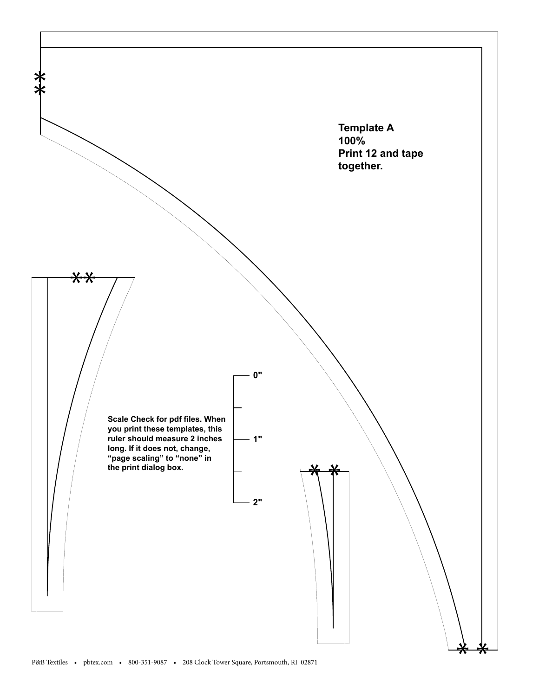

P&B Textiles • pbtex.com • 800-351-9087 • 208 Clock Tower Square, Portsmouth, RI 02871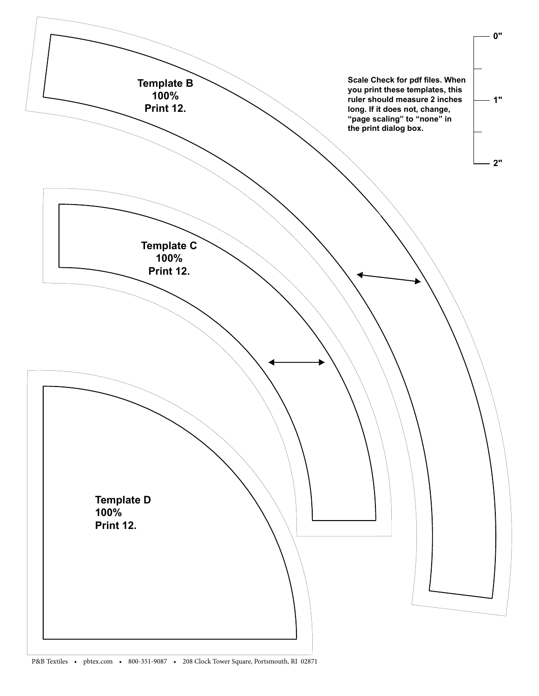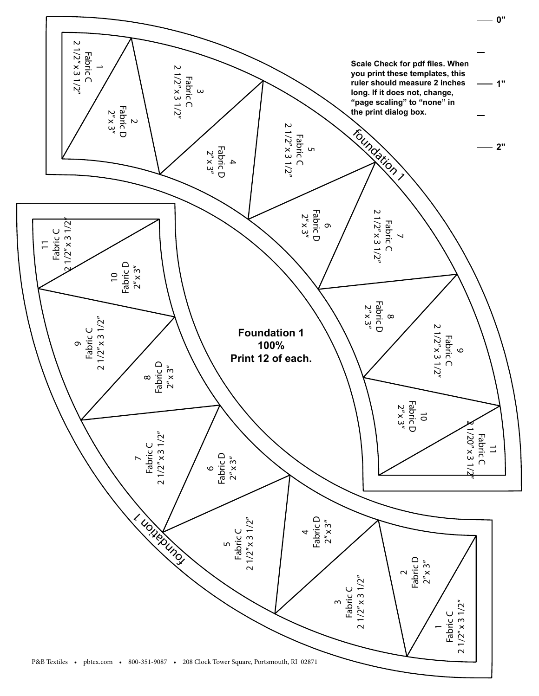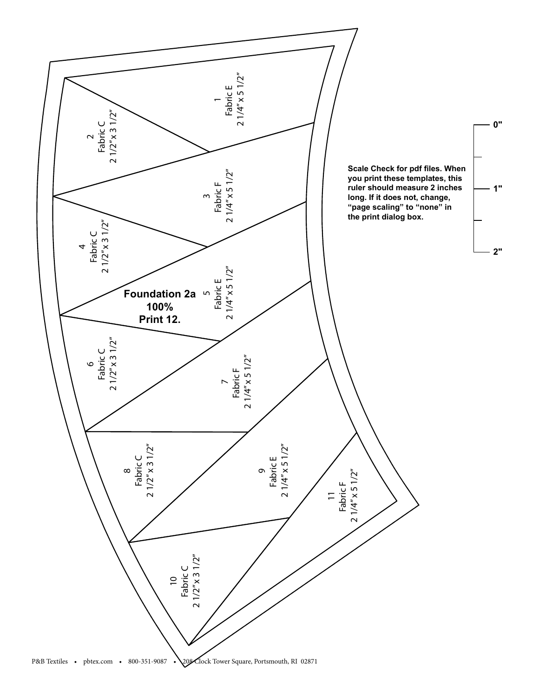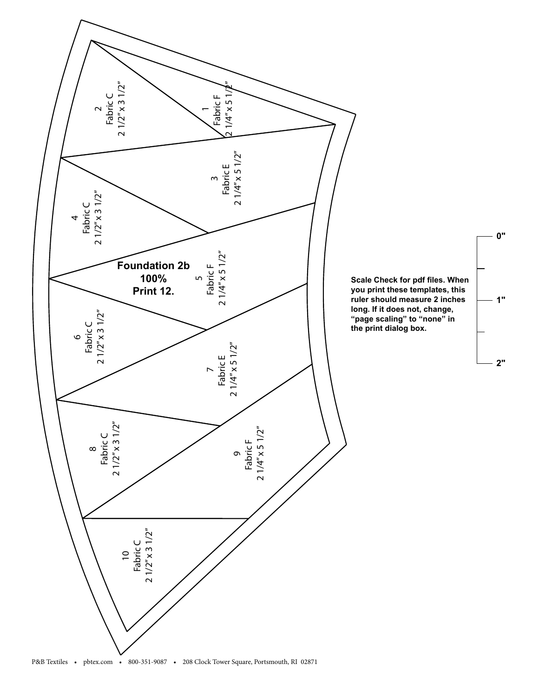